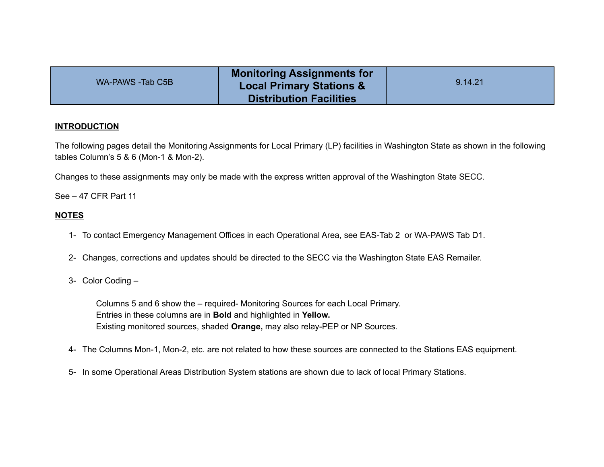| WA-PAWS -Tab C5B | <b>Monitoring Assignments for</b><br><b>Local Primary Stations &amp;</b> | 9.14.21 |
|------------------|--------------------------------------------------------------------------|---------|
|                  | <b>Distribution Facilities</b>                                           |         |

#### **INTRODUCTION**

The following pages detail the Monitoring Assignments for Local Primary (LP) facilities in Washington State as shown in the following tables Column's 5 & 6 (Mon-1 & Mon-2).

Changes to these assignments may only be made with the express written approval of the Washington State SECC.

See – 47 CFR Part 11

# **NOTES**

- 1- To contact Emergency Management Offices in each Operational Area, see EAS-Tab 2 or WA-PAWS Tab D1.
- 2- Changes, corrections and updates should be directed to the SECC via the Washington State EAS Remailer.
- 3- Color Coding –

Columns 5 and 6 show the – required- Monitoring Sources for each Local Primary. Entries in these columns are in **Bold** and highlighted in **Yellow.** Existing monitored sources, shaded **Orange,** may also relay-PEP or NP Sources.

- 4- The Columns Mon-1, Mon-2, etc. are not related to how these sources are connected to the Stations EAS equipment.
- 5- In some Operational Areas Distribution System stations are shown due to lack of local Primary Stations.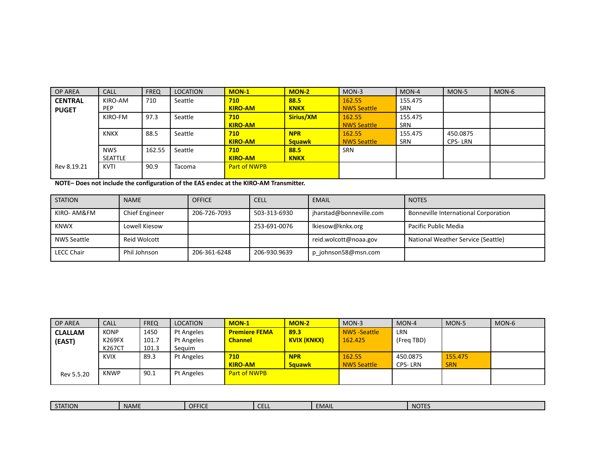| <b>OP AREA</b> | <b>CALL</b>    | <b>FREQ</b> | <b>LOCATION</b> | $MON-1$             | $MON-2$       | $MON-3$            | $MON-4$    | MON-5    | MON-6 |
|----------------|----------------|-------------|-----------------|---------------------|---------------|--------------------|------------|----------|-------|
| <b>CENTRAL</b> | KIRO-AM        | 710         | Seattle         | 710                 | 88.5          | 162.55             | 155.475    |          |       |
| <b>PUGET</b>   | <b>PEP</b>     |             |                 | <b>KIRO-AM</b>      | <b>KNKX</b>   | <b>NWS Seattle</b> | <b>SRN</b> |          |       |
|                | KIRO-FM        | 97.3        | Seattle         | 710                 | Sirius/XM     | 162.55             | 155.475    |          |       |
|                |                |             |                 | <b>KIRO-AM</b>      |               | <b>NWS Seattle</b> | SRN        |          |       |
|                | <b>KNKX</b>    | 88.5        | Seattle         | 710                 | <b>NPR</b>    | 162.55             | 155.475    | 450.0875 |       |
|                |                |             |                 | <b>KIRO-AM</b>      | <b>Squawk</b> | <b>NWS Seattle</b> | SRN        | CPS-LRN  |       |
|                | <b>NWS</b>     | 162.55      | Seattle         | 710                 | 88.5          | <b>SRN</b>         |            |          |       |
|                | <b>SEATTLE</b> |             |                 | <b>KIRO-AM</b>      | <b>KNKX</b>   |                    |            |          |       |
| Rev 8.19.21    | <b>KVTI</b>    | 90.9        | <b>Tacoma</b>   | <b>Part of NWPB</b> |               |                    |            |          |       |

**NOTE– Does not include the configuration of the EAS endec at the KIRO-AM Transmitter.**

| <b>STATION</b>    | <b>NAME</b>    | <b>OFFICE</b> | <b>CELL</b>  | <b>EMAIL</b>            | <b>NOTES</b>                                |
|-------------------|----------------|---------------|--------------|-------------------------|---------------------------------------------|
| KIRO- AM&FM       | Chief Engineer | 206-726-7093  | 503-313-6930 | jharstad@bonneville.com | <b>Bonneville International Corporation</b> |
| <b>KNWX</b>       | Lowell Kiesow  |               | 253-691-0076 | lkiesow@knkx.org        | Pacific Public Media                        |
| NWS Seattle       | Reid Wolcott   |               |              | reid.wolcott@noaa.gov   | National Weather Service (Seattle)          |
| <b>LECC Chair</b> | Phil Johnson   | 206-361-6248  | 206-930.9639 | p johnson58@msn.com     |                                             |

| <b>OP AREA</b> | <b>CALL</b> | <b>FREQ</b> | LOCATION   | $MON-1$              | $MON-2$            | $MON-3$             | $MON-4$    | MON-5      | MON-6 |
|----------------|-------------|-------------|------------|----------------------|--------------------|---------------------|------------|------------|-------|
| <b>CLALLAM</b> | <b>KONP</b> | 1450        | Pt Angeles | <b>Premiere FEMA</b> | 89.3               | <b>NWS</b> -Seattle | <b>LRN</b> |            |       |
| (EAST)         | K269FX      | 101.7       | Pt Angeles | <b>Channel</b>       | <b>KVIX (KNKX)</b> | 162.425             | (Freg TBD) |            |       |
|                | K267CT      | 101.3       | Seguim     |                      |                    |                     |            |            |       |
|                | <b>KVIX</b> | 89.3        | Pt Angeles | 710                  | <b>NPR</b>         | 162.55              | 450.0875   | 155.475    |       |
|                |             |             |            | <b>KIRO-AM</b>       | <b>Sauawk</b>      | <b>NWS Seattle</b>  | CPS-LRN    | <b>SRN</b> |       |
| Rev 5.5.20     | <b>KNWP</b> | 90.1        | Pt Angeles | <b>Part of NWPB</b>  |                    |                     |            |            |       |

| $\sim$ $\sim$ $\sim$<br><b>TION</b><br>SIAII | <b>NAME</b> | <b>OFFICE</b> | $\sim$<br>-<br>----- | <b>EMAIL</b> | NOTE <sup>e</sup> |
|----------------------------------------------|-------------|---------------|----------------------|--------------|-------------------|
|                                              |             |               |                      |              |                   |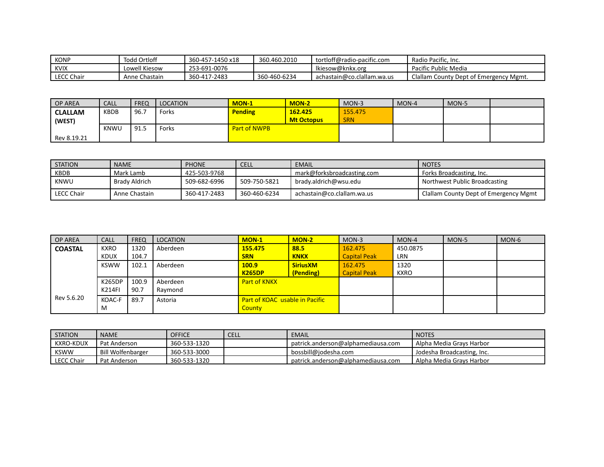| KONP              | Todd Ortloff  | 360-457-1450 x18 | 360.460.2010 | tortloff@radio-pacific.com | `Radio Pacific. Inc.                   |
|-------------------|---------------|------------------|--------------|----------------------------|----------------------------------------|
| <b>KVIX</b>       | Lowell Kiesow | 253-691-0076     |              | lkiesow@knkx.org           | Pacific Public Media                   |
| <b>LECC Chair</b> | Anne Chastain | 360-417-2483     | 360-460-6234 | achastain@co.clallam.wa.us | Clallam County Dept of Emergency Mgmt. |

| <b>OP AREA</b> | <b>CALL</b> | <b>FREQ</b> | LOCATION | $MON-1$             | <b>MON-2</b>      | MON-3      | $MON-4$ | MON-5 |  |
|----------------|-------------|-------------|----------|---------------------|-------------------|------------|---------|-------|--|
| <b>CLALLAM</b> | KBDB        | 96.7        | Forks    | <b>Pending</b>      | 162.425           | 155.475    |         |       |  |
| (WEST)         |             |             |          |                     | <b>Mt Octopus</b> | <b>SRN</b> |         |       |  |
|                | KNWU        | 91.5        | Forks    | <b>Part of NWPB</b> |                   |            |         |       |  |
| Rev 8.19.21    |             |             |          |                     |                   |            |         |       |  |

| <b>STATION</b> | <b>NAME</b>   | <b>PHONE</b> | <b>CELL</b>  | <b>EMAIL</b>               | <b>NOTES</b>                          |
|----------------|---------------|--------------|--------------|----------------------------|---------------------------------------|
| KBDB           | Mark Lamb     | 425-503-9768 |              | mark@forksbroadcasting.com | Forks Broadcasting, Inc.              |
| KNWU           | Brady Aldrich | 509-682-6996 | 509-750-5821 | brady.aldrich@wsu.edu      | Northwest Public Broadcasting         |
| l LECC Chair   | Anne Chastain | 360-417-2483 | 360-460-6234 | achastain@co.clallam.wa.us | Clallam County Dept of Emergency Mgmt |

| <b>OP AREA</b> | <b>CALL</b>   | <b>FREQ</b> | LOCATION | $MON-1$                               | $MON-2$         | $MON-3$             | $MON-4$     | MON-5 | MON-6 |
|----------------|---------------|-------------|----------|---------------------------------------|-----------------|---------------------|-------------|-------|-------|
| <b>COASTAL</b> | <b>KXRO</b>   | 1320        | Aberdeen | 155,475                               | 88.5            | 162.475             | 450.0875    |       |       |
|                | <b>KDUX</b>   | 104.7       |          | <b>SRN</b>                            | <b>KNKX</b>     | <b>Capital Peak</b> | <b>LRN</b>  |       |       |
|                | <b>KSWW</b>   | 102.1       | Aberdeen | 100.9                                 | <b>SiriusXM</b> | 162.475             | 1320        |       |       |
|                |               |             |          | <b>K265DP</b>                         | (Pending)       | <b>Capital Peak</b> | <b>KXRO</b> |       |       |
|                | K265DP        | 100.9       | Aberdeen | <b>Part of KNKX</b>                   |                 |                     |             |       |       |
|                | <b>K214FI</b> | 90.7        | Raymond  |                                       |                 |                     |             |       |       |
| Rev 5.6.20     | KOAC-F        | 89.7        | Astoria  | <b>Part of KOAC</b> usable in Pacific |                 |                     |             |       |       |
|                | M             |             |          | County                                |                 |                     |             |       |       |

| <b>STATION</b> | <b>NAME</b>              | <b>OFFICE</b> | <b>CELL</b> | <b>EMAIL</b>                       | <b>NOTES</b>               |
|----------------|--------------------------|---------------|-------------|------------------------------------|----------------------------|
| l KXRO-KDUX    | Pat Anderson             | 360-533-1320  |             | patrick.anderson@alphamediausa.com | Alpha Media Gravs Harbor   |
| , KSWW         | <b>Bill Wolfenbarger</b> | 360-533-3000  |             | bossbill@jodesha.com               | Jodesha Broadcasting, Inc. |
| LECC Chair     | Pat Anderson             | 360-533-1320  |             | patrick.anderson@alphamediausa.com | Alpha Media Grays Harbor   |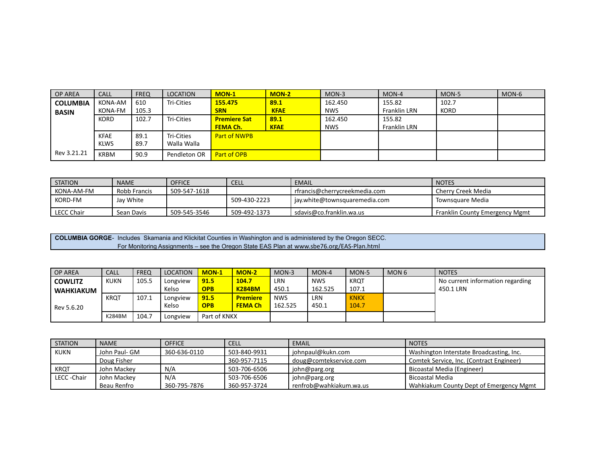| <b>OP AREA</b>  | <b>CALL</b> | <b>FREQ</b> | LOCATION     | $MON-1$             | $MON-2$     | $MON-3$    | $MON-4$             | MON-5       | MON-6 |
|-----------------|-------------|-------------|--------------|---------------------|-------------|------------|---------------------|-------------|-------|
| <b>COLUMBIA</b> | KONA-AM     | 610         | Tri-Cities   | 155,475             | 89.1        | 162.450    | 155.82              | 102.7       |       |
| <b>BASIN</b>    | KONA-FM     | 105.3       |              | <b>SRN</b>          | <b>KFAE</b> | <b>NWS</b> | Franklin LRN        | <b>KORD</b> |       |
|                 | <b>KORD</b> | 102.7       | Tri-Cities   | <b>Premiere Sat</b> | 89.1        | 162.450    | 155.82              |             |       |
|                 |             |             |              | <b>FEMA Ch.</b>     | <b>KFAE</b> | <b>NWS</b> | <b>Franklin LRN</b> |             |       |
|                 | KFAE        | 89.1        | Tri-Cities   | <b>Part of NWPB</b> |             |            |                     |             |       |
|                 | <b>KLWS</b> | 89.7        | Walla Walla  |                     |             |            |                     |             |       |
| Rev 3.21.21     | <b>KRBM</b> | 90.9        | Pendleton OR | Part of OPB         |             |            |                     |             |       |

| <b>STATION</b>    | <b>NAME</b>  | <b>OFFICE</b> | <b>CELL</b>  | EMAIL                         | <b>NOTES</b>                          |
|-------------------|--------------|---------------|--------------|-------------------------------|---------------------------------------|
| KONA-AM-FM        | Robb Francis | 509-547-1618  |              | rfrancis@cherrycreekmedia.com | Cherry Creek Media                    |
| <b>KORD-FM</b>    | Jay White    |               | 509-430-2223 | jay.white@townsquaremedia.com | Townsguare Media                      |
| <b>LECC Chair</b> | Sean Davis   | 509-545-3546  | 509-492-1373 | sdavis@co.franklin.wa.us      | <b>Franklin County Emergency Mgmt</b> |

**COLUMBIA GORGE**- Includes Skamania and Klickitat Counties in Washington and is administered by the Oregon SECC. For Monitoring Assignments – see the Oregon State EAS Plan at www.sbe76.org/EAS-Plan.html

| <b>OP AREA</b>   | <b>CALL</b> | <b>FREQ</b> | LOCATION | <b>MON-1</b> | <b>MON-2</b>    | MON-3      | MON-4      | MON-5       | MON <sub>6</sub> | <b>NOTES</b>                     |
|------------------|-------------|-------------|----------|--------------|-----------------|------------|------------|-------------|------------------|----------------------------------|
| <b>COWLITZ</b>   | <b>KUKN</b> | 105.5       | Longview | 91.5         | 104.7           | LRN        | <b>NWS</b> | <b>KRQ1</b> |                  | No current information regarding |
| <b>WAHKIAKUM</b> |             |             | Kelso    | <b>OPB</b>   | <b>K284BM</b>   | 450.1      | 162.525    | 107.1       |                  | 450.1 LRN                        |
|                  | <b>KROT</b> | 107.1       | Longview | 91.5         | <b>Premiere</b> | <b>NWS</b> | LRN        | <b>KNKX</b> |                  |                                  |
| Rev 5.6.20       |             |             | Kelso    | <b>OPB</b>   | <b>FEMA Ch</b>  | 162.525    | 450.1      | 104.7       |                  |                                  |
|                  | K284BM      | 104.7       | Longview | Part of KNKX |                 |            |            |             |                  |                                  |

| <b>STATION</b> | <b>NAME</b>   | <b>OFFICE</b> | <b>CELL</b>  | <b>EMAIL</b>            | <b>NOTES</b>                             |
|----------------|---------------|---------------|--------------|-------------------------|------------------------------------------|
| KUKN           | John Paul- GM | 360-636-0110  | 503-840-9931 | johnpaul@kukn.com       | Washington Interstate Broadcasting, Inc. |
|                | Doug Fisher   |               | 360-957-7115 | doug@comtekservice.com  | Comtek Service, Inc. (Contract Engineer) |
| KRQT           | John Mackey   | N/A           | 503-706-6506 | john@parg.org           | Bicoastal Media (Engineer)               |
| LECC-Chair     | John Mackey   | N/A           | 503-706-6506 | john@parg.org           | Bicoastal Media                          |
|                | Beau Renfro   | 360-795-7876  | 360-957-3724 | renfrob@wahkiakum.wa.us | Wahkiakum County Dept of Emergency Mgmt  |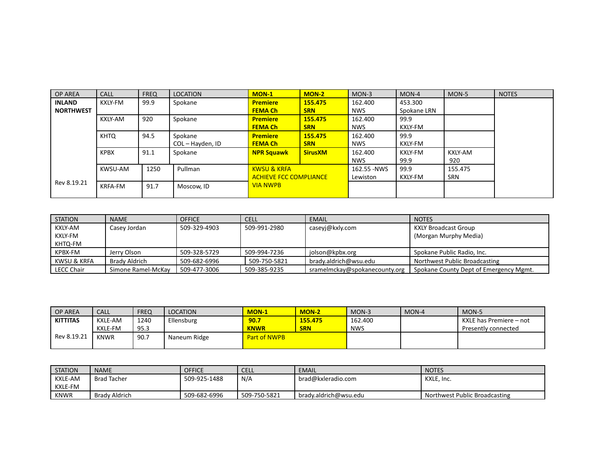| <b>OP AREA</b>   | <b>CALL</b>    | <b>FREQ</b> | <b>LOCATION</b>  | $MON-1$                       | <b>MON-2</b>   | $MON-3$     | $MON-4$     | MON-5   | <b>NOTES</b> |
|------------------|----------------|-------------|------------------|-------------------------------|----------------|-------------|-------------|---------|--------------|
| <b>INLAND</b>    | KXLY-FM        | 99.9        | Spokane          | <b>Premiere</b>               | 155.475        | 162.400     | 453.300     |         |              |
| <b>NORTHWEST</b> |                |             |                  | <b>FEMA Ch</b>                | <b>SRN</b>     | <b>NWS</b>  | Spokane LRN |         |              |
|                  | <b>KXLY-AM</b> | 920         | Spokane          | <b>Premiere</b>               | 155.475        | 162.400     | 99.9        |         |              |
|                  |                |             |                  | <b>FEMA Ch</b>                | <b>SRN</b>     | <b>NWS</b>  | KXLY-FM     |         |              |
|                  | <b>KHTO</b>    | 94.5        | Spokane          | <b>Premiere</b>               | 155.475        | 162.400     | 99.9        |         |              |
|                  |                |             | COL - Hayden, ID | <b>FEMA Ch</b>                | <b>SRN</b>     | <b>NWS</b>  | KXLY-FM     |         |              |
|                  | <b>KPBX</b>    | 91.1        | Spokane          | <b>NPR Squawk</b>             | <b>SirusXM</b> | 162.400     | KXLY-FM     | KXLY-AM |              |
|                  |                |             |                  |                               |                | <b>NWS</b>  | 99.9        | 920     |              |
|                  | KWSU-AM        | 1250        | Pullman          | <b>KWSU &amp; KRFA</b>        |                | 162.55 -NWS | 99.9        | 155.475 |              |
|                  |                |             |                  | <b>ACHIEVE FCC COMPLIANCE</b> |                | Lewiston    | KXLY-FM     | SRN     |              |
| Rev 8.19.21      | <b>KRFA-FM</b> | 91.7        | Moscow, ID       | <b>VIA NWPB</b>               |                |             |             |         |              |
|                  |                |             |                  |                               |                |             |             |         |              |

| STATION           | <b>NAME</b>        | <b>OFFICE</b> | <b>CELL</b>  | <b>EMAIL</b>                  | <b>NOTES</b>                           |
|-------------------|--------------------|---------------|--------------|-------------------------------|----------------------------------------|
| KXLY-AM           | Casey Jordan       | 509-329-4903  | 509-991-2980 | caseyj@kxly.com               | <b>KXLY Broadcast Group</b>            |
| KXLY-FM           |                    |               |              |                               | (Morgan Murphy Media)                  |
| KHTQ-FM           |                    |               |              |                               |                                        |
| KPBX-FM           | Jerry Olson        | 509-328-5729  | 509-994-7236 | jolson@kpbx.org               | Spokane Public Radio, Inc.             |
| KWSU & KRFA       | Brady Aldrich      | 509-682-6996  | 509-750-5821 | brady.aldrich@wsu.edu         | Northwest Public Broadcasting          |
| <b>LECC Chair</b> | Simone Ramel-McKay | 509-477-3006  | 509-385-9235 | sramelmckay@spokanecounty.org | Spokane County Dept of Emergency Mgmt. |

| <b>OP AREA</b>  | <b>CALL</b>    | <b>FREQ</b> | <b>LOCATION</b> | <b>MON-1</b>        | <b>MON-2</b> | $MON-3$    | MON-4 | MON-5                   |
|-----------------|----------------|-------------|-----------------|---------------------|--------------|------------|-------|-------------------------|
| <b>KITTITAS</b> | <b>KXLE-AM</b> | 1240        | Ellensburg      | 90.7                | 155.475      | 162.400    |       | KXLE has Premiere – not |
|                 | <b>KXLE-FM</b> | 95.3        |                 | <b>KNWR</b>         | <b>SRN</b>   | <b>NWS</b> |       | Presently connected     |
| Rev 8.19.21     | <b>KNWR</b>    | 90.7        | Naneum Ridge    | <b>Part of NWPB</b> |              |            |       |                         |

| <b>STATION</b> | <b>NAME</b>        | <b>OFFICE</b> | <b>CELL</b>  | EMAIL                 | <b>NOTES</b>                  |
|----------------|--------------------|---------------|--------------|-----------------------|-------------------------------|
| KXLE-AM        | <b>Brad Tacher</b> | 509-925-1488  | N/A          | brad@kxleradio.com    | KXLE, Inc.                    |
| KXLE-FM        |                    |               |              |                       |                               |
| <b>KNWR</b>    | Brady Aldrich      | 509-682-6996  | 509-750-5821 | brady.aldrich@wsu.edu | Northwest Public Broadcasting |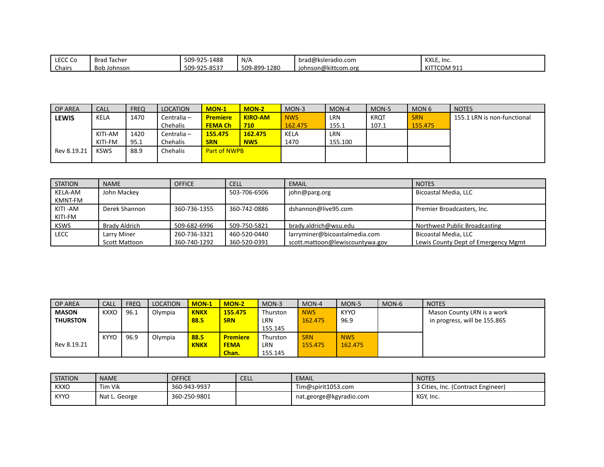| LECC C<br>LECC CO | <b>Brad</b><br>Tacher | 509-925-1488 | N/A                 | $bra{d}$<br>'ksleradio.com        | KXLE, Inc.                              |
|-------------------|-----------------------|--------------|---------------------|-----------------------------------|-----------------------------------------|
| Chairs            | Bob<br>Johnson        | 509-925-8537 | $-1280$<br>509-899- | າnson@kittcom.org<br><b>10hns</b> | . TCOM 91 $^\circ$<br><b>VIT</b><br>-NH |

| <b>OP AREA</b> | <b>CALL</b> | <b>FREQ</b> | <b>LOCATION</b> | <b>MON-1</b>        | $MON-2$        | MON-3      | MON-4   | MON-5       | MON <sub>6</sub> | <b>NOTES</b>                |
|----------------|-------------|-------------|-----------------|---------------------|----------------|------------|---------|-------------|------------------|-----------------------------|
| LEWIS          | KELA        | 1470        | Centralia -     | <b>Premiere</b>     | <b>KIRO-AM</b> | <b>NWS</b> | LRN     | <b>KROT</b> | <b>SRN</b>       | 155.1 LRN is non-functional |
|                |             |             | Chehalis        | <b>FEMA Ch</b>      | 710            | 162.475    | 155.1   | 107.1       | 155.475          |                             |
|                | KITI-AM     | 1420        | Centralia -     | 155.475             | 162.475        | KELA       | LRN     |             |                  |                             |
|                | KITI-FM     | 95.1        | Chehalis        | <b>SRN</b>          | <b>NWS</b>     | 1470       | 155.100 |             |                  |                             |
| Rev 8.19.21    | <b>KSWS</b> | 88.9        | <b>Chehalis</b> | <b>Part of NWPB</b> |                |            |         |             |                  |                             |
|                |             |             |                 |                     |                |            |         |             |                  |                             |

| <b>STATION</b> | <b>NAME</b>   | <b>OFFICE</b> | <b>CELL</b>  | EMAIL                           | <b>NOTES</b>                        |
|----------------|---------------|---------------|--------------|---------------------------------|-------------------------------------|
| KELA-AM        | John Mackey   |               | 503-706-6506 | john@parg.org                   | Bicoastal Media, LLC                |
| KMNT-FM        |               |               |              |                                 |                                     |
| KITI-AM        | Derek Shannon | 360-736-1355  | 360-742-0886 | dshannon@live95.com             | Premier Broadcasters, Inc.          |
| KITI-FM        |               |               |              |                                 |                                     |
| <b>KSWS</b>    | Brady Aldrich | 509-682-6996  | 509-750-5821 | brady.aldrich@wsu.edu           | Northwest Public Broadcasting       |
| l lecc         | Larry Miner   | 260-736-3321  | 460-520-0440 | larryminer@bicoastalmedia.com   | Bicoastal Media. LLC                |
|                | Scott Mattoon | 360-740-1292  | 360-520-0391 | scott.mattoon@lewiscountywa.gov | Lewis County Dept of Emergency Mgmt |

| <b>OP AREA</b>  | <b>CALL</b> | <b>FREQ</b> | LOCATION | $MON-1$     | $MON-2$         | $MON-3$    | $MON-4$    | MON-5       | MON-6 | <b>NOTES</b>                 |
|-----------------|-------------|-------------|----------|-------------|-----------------|------------|------------|-------------|-------|------------------------------|
| <b>MASON</b>    | <b>KXXO</b> | 96.1        | Olympia  | <b>KNKX</b> | 155,475         | Thurston   | <b>NWS</b> | <b>KYYO</b> |       | Mason County LRN is a work   |
| <b>THURSTON</b> |             |             |          | 88.5        | <b>SRN</b>      | <b>LRN</b> | 162.475    | 96.9        |       | in progress, will be 155.865 |
|                 |             |             |          |             |                 | 155.145    |            |             |       |                              |
|                 | <b>KYYO</b> | 96.9        | Olympia  | 88.5        | <b>Premiere</b> | Thurston   | <b>SRN</b> | <b>NWS</b>  |       |                              |
| Rev 8.19.21     |             |             |          | <b>KNKX</b> | <b>FEMA</b>     | <b>LRN</b> | 155.475    | 162.475     |       |                              |
|                 |             |             |          |             | Chan.           | 155.145    |            |             |       |                              |

| <b>STATION</b> | <b>NAME</b>   | <b>OFFICE</b> | <b>CELL</b> | EMAIL                   | <b>NOTES</b>                       |
|----------------|---------------|---------------|-------------|-------------------------|------------------------------------|
| <b>KXXO</b>    | Tim Vik       | 360-943-9937  |             | Tim@spirit1053.com      | 3 Cities, Inc. (Contract Engineer) |
| <b>KYYO</b>    | Nat L. George | 360-250-9801  |             | nat.george@kgyradio.com | KGY, Inc.                          |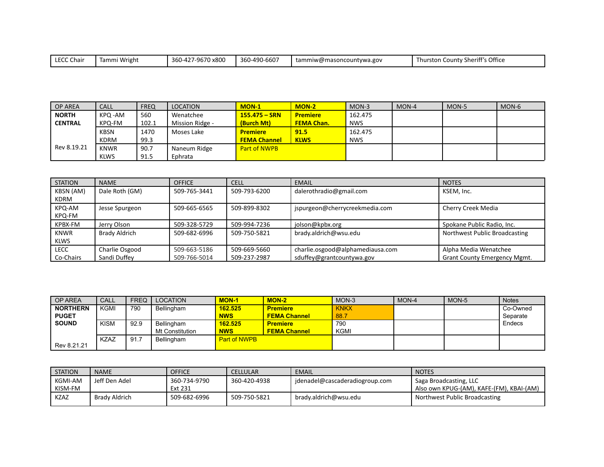| $\cdot$ . I FCC C'<br><b>LECC Chair</b> | ` Wright<br>Tammi i | 7-9670 x800<br>$\sim$ $\sim$ $\sim$<br>$360 - 42$ | −90-6607<br>360-490- | $\mathcal{C}$ tammiw@masoncountywa.gov | 's Office<br>. County Sheriff's<br>l hurston |
|-----------------------------------------|---------------------|---------------------------------------------------|----------------------|----------------------------------------|----------------------------------------------|
|-----------------------------------------|---------------------|---------------------------------------------------|----------------------|----------------------------------------|----------------------------------------------|

| OP AREA        | <b>CALL</b> | <b>FREQ</b> | <b>LOCATION</b> | $MON-1$             | $MON-2$           | MON-3      | MON-4 | MON-5 | MON-6 |
|----------------|-------------|-------------|-----------------|---------------------|-------------------|------------|-------|-------|-------|
| <b>NORTH</b>   | KPQ -AM     | 560         | Wenatchee       | $155.475 - SRN$     | <b>Premiere</b>   | 162.475    |       |       |       |
| <b>CENTRAL</b> | KPQ-FM      | 102.1       | Mission Ridge - | (Burch Mt)          | <b>FEMA Chan.</b> | <b>NWS</b> |       |       |       |
|                | <b>KBSN</b> | 1470        | Moses Lake      | <b>Premiere</b>     | 91.5              | 162.475    |       |       |       |
|                | <b>KDRM</b> | 99.3        |                 | <b>FEMA Channel</b> | <b>KLWS</b>       | <b>NWS</b> |       |       |       |
| Rev 8.19.21    | <b>KNWR</b> | 90.7        | Naneum Ridge    | <b>Part of NWPB</b> |                   |            |       |       |       |
|                | <b>KLWS</b> | 91.5        | Ephrata         |                     |                   |            |       |       |       |

| <b>STATION</b> | <b>NAME</b>          | <b>OFFICE</b> | <b>CELL</b>  | <b>EMAIL</b>                     | <b>NOTES</b>                        |
|----------------|----------------------|---------------|--------------|----------------------------------|-------------------------------------|
| KBSN (AM)      | Dale Roth (GM)       | 509-765-3441  | 509-793-6200 | dalerothradio@gmail.com          | KSEM, Inc.                          |
| KDRM           |                      |               |              |                                  |                                     |
| KPQ-AM         | Jesse Spurgeon       | 509-665-6565  | 509-899-8302 | jspurgeon@cherrycreekmedia.com   | Cherry Creek Media                  |
| KPQ-FM         |                      |               |              |                                  |                                     |
| KPBX-FM        | Jerry Olson          | 509-328-5729  | 509-994-7236 | jolson@kpbx.org                  | Spokane Public Radio, Inc.          |
| <b>KNWR</b>    | <b>Brady Aldrich</b> | 509-682-6996  | 509-750-5821 | brady.aldrich@wsu.edu            | Northwest Public Broadcasting       |
| <b>KLWS</b>    |                      |               |              |                                  |                                     |
| LECC           | Charlie Osgood       | 509-663-5186  | 509-669-5660 | charlie.osgood@alphamediausa.com | Alpha Media Wenatchee               |
| Co-Chairs      | Sandi Duffey         | 509-766-5014  | 509-237-2987 | sduffey@grantcountywa.gov        | <b>Grant County Emergency Mgmt.</b> |

| OP AREA         | CALL        | <b>FREQ</b> | <b>LOCATION</b> | $MON-1$             | $MON-2$             | $MON-3$     | MON-4 | MON-5 | <b>Notes</b> |
|-----------------|-------------|-------------|-----------------|---------------------|---------------------|-------------|-------|-------|--------------|
| <b>NORTHERN</b> | KGMI        | 790         | Bellingham      | 162.525             | <b>Premiere</b>     | <b>KNKX</b> |       |       | Co-Owned     |
| <b>PUGET</b>    |             |             |                 | <b>NWS</b>          | <b>FEMA Channel</b> | 88.7        |       |       | Separate     |
| <b>SOUND</b>    | <b>KISM</b> | 92.9        | Bellingham      | 162.525             | <b>Premiere</b>     | 790         |       |       | Endecs       |
|                 |             |             | Mt Constitution | <b>NWS</b>          | <b>FEMA Channel</b> | KGMI        |       |       |              |
|                 | <b>KZAZ</b> | 91.         | Bellingham      | <b>Part of NWPB</b> |                     |             |       |       |              |
| Rev 8.21.21     |             |             |                 |                     |                     |             |       |       |              |

| <b>STATION</b> | <b>NAME</b>   | <b>OFFICE</b> | CELLULAR     | EMAIL                          | <b>NOTES</b>                             |
|----------------|---------------|---------------|--------------|--------------------------------|------------------------------------------|
| KGMI-AM        | Jeff Den Adel | 360-734-9790  | 360-420-4938 | jdenadel@cascaderadiogroup.com | Saga Broadcasting, LLC                   |
| l Kism-FM      |               | Ext 231       |              |                                | Also own KPUG-(AM), KAFE-(FM), KBAI-(AM) |
| <b>KZAZ</b>    | Brady Aldrich | 509-682-6996  | 509-750-5821 | brady.aldrich@wsu.edu          | Northwest Public Broadcasting            |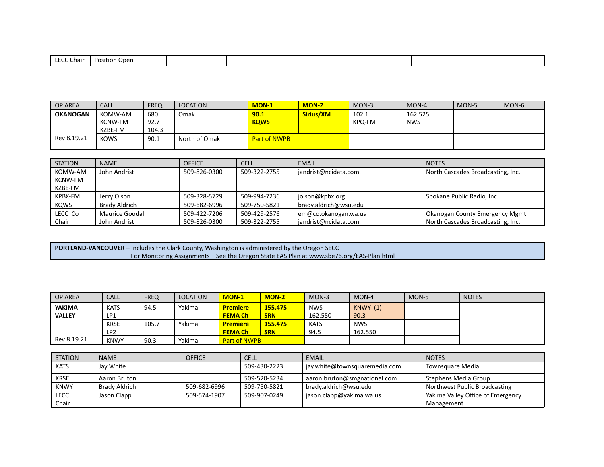| $-00$<br>Chair | Position<br>Open. |  |  |
|----------------|-------------------|--|--|

| OP AREA         | <b>CALL</b> | <b>FREQ</b> | <b>LOCATION</b> | <b>MON-1</b>        | $MON-2$   | MON-3  | MON-4      | MON-5 | $MON-6$ |
|-----------------|-------------|-------------|-----------------|---------------------|-----------|--------|------------|-------|---------|
| <b>OKANOGAN</b> | KOMW-AM     | 680         | Omak            | 90.1                | Sirius/XM | 102.1  | 162.525    |       |         |
|                 | KCNW-FM     | 92.7        |                 | <b>KOWS</b>         |           | KPQ-FM | <b>NWS</b> |       |         |
|                 | KZBE-FM     | 104.3       |                 |                     |           |        |            |       |         |
| Rev 8.19.21     | <b>KOWS</b> | 90.1        | North of Omak   | <b>Part of NWPB</b> |           |        |            |       |         |

| I STATION      | <b>NAME</b>            | <b>OFFICE</b> | <b>CELL</b>  | <b>EMAIL</b>          | <b>NOTES</b>                      |
|----------------|------------------------|---------------|--------------|-----------------------|-----------------------------------|
| KOMW-AM        | John Andrist           | 509-826-0300  | 509-322-2755 | jandrist@ncidata.com. | North Cascades Broadcasting, Inc. |
| <b>KCNW-FM</b> |                        |               |              |                       |                                   |
| KZBE-FM        |                        |               |              |                       |                                   |
| KPBX-FM        | Jerry Olson            | 509-328-5729  | 509-994-7236 | jolson@kpbx.org       | Spokane Public Radio, Inc.        |
| <b>KQWS</b>    | Brady Aldrich          | 509-682-6996  | 509-750-5821 | brady.aldrich@wsu.edu |                                   |
| LECC Co        | <b>Maurice Goodall</b> | 509-422-7206  | 509-429-2576 | em@co.okanogan.wa.us  | Okanogan County Emergency Mgmt    |
| Chair          | John Andrist           | 509-826-0300  | 509-322-2755 | jandrist@ncidata.com. | North Cascades Broadcasting, Inc. |

**PORTLAND-VANCOUVER –** Includes the Clark County, Washington is administered by the Oregon SECC For Monitoring Assignments – See the Oregon State EAS Plan at www.sbe76.org/EAS-Plan.html

| <b>OP AREA</b> | <b>CALL</b>     | <b>FREQ</b> | <b>LOCATION</b> | <b>MON-1</b>        | <b>MON-2</b> | $MON-3$     | $MON-4$    | MON-5 | <b>NOTES</b> |
|----------------|-----------------|-------------|-----------------|---------------------|--------------|-------------|------------|-------|--------------|
| <b>YAKIMA</b>  | <b>KATS</b>     | 94.5        | Yakima          | <b>Premiere</b>     | 155,475      | <b>NWS</b>  | KNWY(1)    |       |              |
| <b>VALLEY</b>  | LP1             |             |                 | <b>FEMA Ch</b>      | <b>SRN</b>   | 162.550     | 90.3       |       |              |
|                | <b>KRSE</b>     | 105.7       | Yakima          | <b>Premiere</b>     | 155.475      | <b>KATS</b> | <b>NWS</b> |       |              |
|                | LP <sub>2</sub> |             |                 | <b>FEMA Ch</b>      | <b>SRN</b>   | 94.5        | 162.550    |       |              |
| Rev 8.19.21    | <b>KNWY</b>     | 90.3        | Yakima          | <b>Part of NWPB</b> |              |             |            |       |              |

| <b>STATION</b> | <b>NAME</b>   | <b>OFFICE</b> | <b>CELL</b>  | <b>EMAIL</b>                  | <b>NOTES</b>                      |
|----------------|---------------|---------------|--------------|-------------------------------|-----------------------------------|
| <b>KATS</b>    | Jay White     |               | 509-430-2223 | jay.white@townsquaremedia.com | Townsquare Media                  |
| <b>KRSE</b>    | Aaron Bruton  |               | 509-520-5234 | aaron.bruton@smgnational.com  | Stephens Media Group              |
| <b>KNWY</b>    | Brady Aldrich | 509-682-6996  | 509-750-5821 | brady.aldrich@wsu.edu         | Northwest Public Broadcasting     |
| LECC           | Jason Clapp   | 509-574-1907  | 509-907-0249 | jason.clapp@yakima.wa.us      | Yakima Valley Office of Emergency |
| Chair          |               |               |              |                               | Management                        |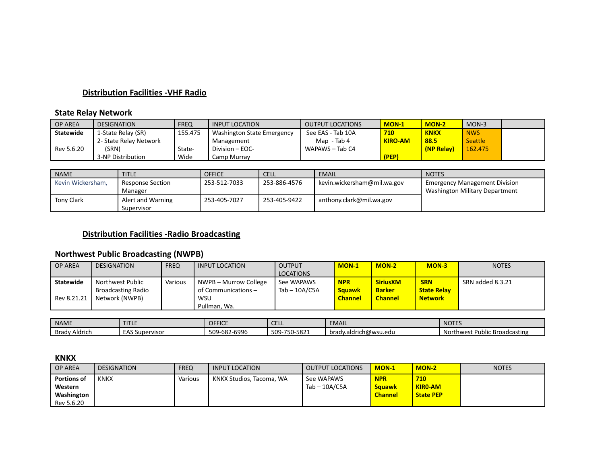# **Distribution Facilities -VHF Radio**

# **State Relay Network**

| <b>OP AREA</b>   | <b>DESIGNATION</b>     | <b>FREQ</b> | <b>INPUT LOCATION</b>      | <b>OUTPUT LOCATIONS</b> | <b>MON-1</b>   | <b>MON-2</b> | $MON-3$        |  |
|------------------|------------------------|-------------|----------------------------|-------------------------|----------------|--------------|----------------|--|
| <b>Statewide</b> | 1-State Relay (SR)     | 155.475     | Washington State Emergency | See EAS - Tab 10A       | 710            | <b>KNKX</b>  | <b>NWS</b>     |  |
|                  | 2- State Relay Network |             | Management                 | Map - Tab 4             | <b>KIRO-AM</b> | 88.5         | <b>Seattle</b> |  |
| Rev 5.6.20       | (SRN)                  | State-      | Division $-$ EOC-          | WAPAWS - Tab C4         |                | (NP Relay)   | 162.475        |  |
|                  | 3-NP Distribution      | Wide        | Camp Murrav                |                         | (PEP)          |              |                |  |

| <b>NAME</b>       | <b>TITLE</b>                       | <b>OFFICE</b> | <b>CELL</b>  | EMAIL                        | <b>NOTES</b>                                                                  |
|-------------------|------------------------------------|---------------|--------------|------------------------------|-------------------------------------------------------------------------------|
| Kevin Wickersham, | <b>Response Section</b><br>Manager | 253-512-7033  | 253-886-4576 | kevin.wickersham@mil.wa.gov_ | <b>Emergency Management Division</b><br><b>Washington Military Department</b> |
| <b>Tony Clark</b> | Alert and Warning<br>Supervisor    | 253-405-7027  | 253-405-9422 | anthony.clark@mil.wa.gov     |                                                                               |

# **Distribution Facilities -Radio Broadcasting**

# **Northwest Public Broadcasting (NWPB)**

| <b>OP AREA</b>   | <b>DESIGNATION</b>        | <b>FREQ</b> | <b>INPUT LOCATION</b> | <b>OUTPUT</b>    | $MON-1$        | $MON-2$         | $MON-3$            | <b>NOTES</b>     |
|------------------|---------------------------|-------------|-----------------------|------------------|----------------|-----------------|--------------------|------------------|
|                  |                           |             |                       | <b>LOCATIONS</b> |                |                 |                    |                  |
| <b>Statewide</b> | Northwest Public          | Various     | NWPB – Murrow College | See WAPAWS       | <b>NPR</b>     | <b>SiriusXM</b> | <b>SRN</b>         | SRN added 8.3.21 |
|                  | <b>Broadcasting Radio</b> |             | of Communications -   | Tab $-$ 10A/C5A  | <b>Sauawk</b>  | <b>Barker</b>   | <b>State Relav</b> |                  |
| Rev 8.21.21      | Network (NWPB)            |             | <b>WSU</b>            |                  | <b>Channel</b> | <b>Channel</b>  | <b>Network</b>     |                  |
|                  |                           |             | Pullman, Wa.          |                  |                |                 |                    |                  |

| <b>NAME</b>      | <b>Continued by Continued By Continued By Continued By Continued By Continued By Continued By Continued By Conti</b><br>. | <b>OFFICE</b>                      | <b>CELL</b>           | <b>EMAIL</b>          | <b>NOTES</b>                         |
|------------------|---------------------------------------------------------------------------------------------------------------------------|------------------------------------|-----------------------|-----------------------|--------------------------------------|
| Brady<br>Aldrich | $F^{\prime}$<br>Supervisor<br><b>EAS</b>                                                                                  | -682-699F<br>500<br>・・・ロココし<br>JU- | $-750 - 5821$<br>509- | brady.aldrich@wsu.edu | rthwest Public Broadcasting<br>Nort' |

#### **KNKX**

| <b>OP AREA</b>     | <b>DESIGNATION</b> | <b>FREQ</b> | <b>INPUT LOCATION</b>    | <b>OUTPUT LOCATIONS</b> | $MON-1$        | $MON-2$          | <b>NOTES</b> |
|--------------------|--------------------|-------------|--------------------------|-------------------------|----------------|------------------|--------------|
| <b>Portions of</b> | <b>KNKX</b>        | Various     | KNKX Studios, Tacoma, WA | See WAPAWS              | <b>NPR</b>     | 710              |              |
| Western            |                    |             |                          | Tab – 10A/C5A           | <b>Sauawk</b>  | <b>KIRO-AM</b>   |              |
| Washington         |                    |             |                          |                         | <b>Channel</b> | <b>State PEP</b> |              |
| Rev 5.6.20         |                    |             |                          |                         |                |                  |              |